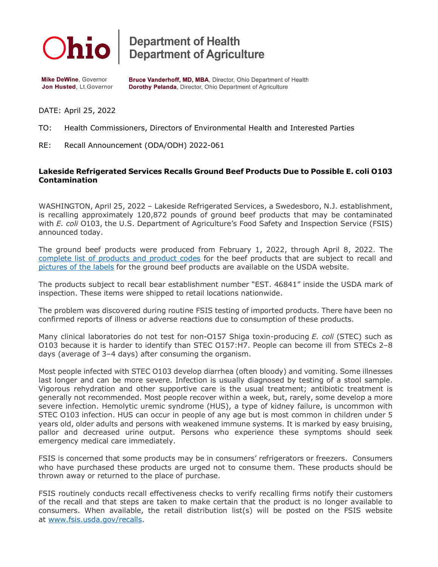

**Department of Health<br>Department of Agriculture** 

**Mike DeWine, Governor** Jon Husted, Lt.Governor Bruce Vanderhoff, MD, MBA, Director, Ohio Department of Health Dorothy Pelanda, Director, Ohio Department of Agriculture

DATE: April 25, 2022

TO: Health Commissioners, Directors of Environmental Health and Interested Parties

RE: Recall Announcement (ODA/ODH) 2022-061

## **Lakeside Refrigerated Services Recalls Ground Beef Products Due to Possible E. coli O103 Contamination**

WASHINGTON, April 25, 2022 – Lakeside Refrigerated Services, a Swedesboro, N.J. establishment, is recalling approximately 120,872 pounds of ground beef products that may be contaminated with *E. coli* O103, the U.S. Department of Agriculture's Food Safety and Inspection Service (FSIS) announced today.

The ground beef products were produced from February 1, 2022, through April 8, 2022. The [complete list of products and product codes](https://www.fsis.usda.gov/sites/default/files/media_file/2022-04/Recall-011-2022-Affected-Products-Sheet_0.pdf) for the beef products that are subject to recall and [pictures of the labels](https://www.fsis.usda.gov/sites/default/files/food_label_pdf/2022-04/011-2022-labels_0.pdf) for the ground beef products are available on the USDA website.

The products subject to recall bear establishment number "EST. 46841" inside the USDA mark of inspection. These items were shipped to retail locations nationwide.

The problem was discovered during routine FSIS testing of imported products. There have been no confirmed reports of illness or adverse reactions due to consumption of these products.

Many clinical laboratories do not test for non-O157 Shiga toxin-producing *E. coli* (STEC) such as O103 because it is harder to identify than STEC O157:H7. People can become ill from STECs 2–8 days (average of 3–4 days) after consuming the organism.

Most people infected with STEC O103 develop diarrhea (often bloody) and vomiting. Some illnesses last longer and can be more severe. Infection is usually diagnosed by testing of a stool sample. Vigorous rehydration and other supportive care is the usual treatment; antibiotic treatment is generally not recommended. Most people recover within a week, but, rarely, some develop a more severe infection. Hemolytic uremic syndrome (HUS), a type of kidney failure, is uncommon with STEC O103 infection. HUS can occur in people of any age but is most common in children under 5 years old, older adults and persons with weakened immune systems. It is marked by easy bruising, pallor and decreased urine output. Persons who experience these symptoms should seek emergency medical care immediately.

FSIS is concerned that some products may be in consumers' refrigerators or freezers. Consumers who have purchased these products are urged not to consume them. These products should be thrown away or returned to the place of purchase.

FSIS routinely conducts recall effectiveness checks to verify recalling firms notify their customers of the recall and that steps are taken to make certain that the product is no longer available to consumers. When available, the retail distribution list(s) will be posted on the FSIS website at [www.fsis.usda.gov/recalls.](http://www.fsis.usda.gov/recalls)